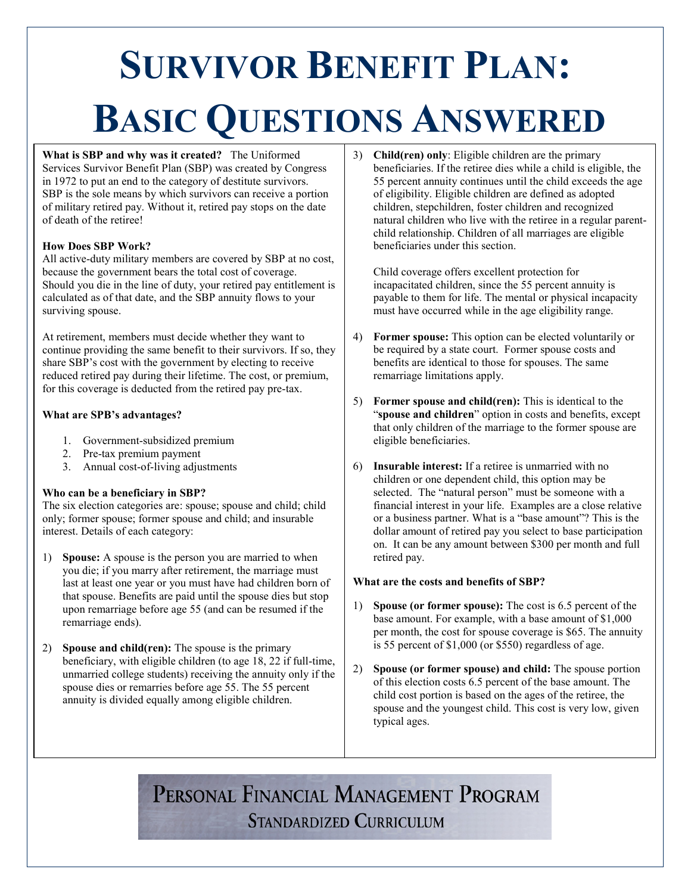# **SURVIVOR BENEFIT PLAN: BASIC QUESTIONS ANSWERED**

**What is SBP and why was it created?** The Uniformed Services Survivor Benefit Plan (SBP) was created by Congress in 1972 to put an end to the category of destitute survivors. SBP is the sole means by which survivors can receive a portion of military retired pay. Without it, retired pay stops on the date of death of the retiree!

### **How Does SBP Work?**

All active-duty military members are covered by SBP at no cost, because the government bears the total cost of coverage. Should you die in the line of duty, your retired pay entitlement is calculated as of that date, and the SBP annuity flows to your surviving spouse.

At retirement, members must decide whether they want to continue providing the same benefit to their survivors. If so, they share SBP's cost with the government by electing to receive reduced retired pay during their lifetime. The cost, or premium, for this coverage is deducted from the retired pay pre-tax.

### **What are SPB's advantages?**

- 1. Government-subsidized premium
- 2. Pre-tax premium payment
- 3. Annual cost-of-living adjustments

### **Who can be a beneficiary in SBP?**

The six election categories are: spouse; spouse and child; child only; former spouse; former spouse and child; and insurable interest. Details of each category:

- 1) **Spouse:** A spouse is the person you are married to when you die; if you marry after retirement, the marriage must last at least one year or you must have had children born of that spouse. Benefits are paid until the spouse dies but stop upon remarriage before age 55 (and can be resumed if the remarriage ends).
- 2) **Spouse and child(ren):** The spouse is the primary beneficiary, with eligible children (to age 18, 22 if full-time, unmarried college students) receiving the annuity only if the spouse dies or remarries before age 55. The 55 percent annuity is divided equally among eligible children.

3) **Child(ren) only**: Eligible children are the primary beneficiaries. If the retiree dies while a child is eligible, the 55 percent annuity continues until the child exceeds the age of eligibility. Eligible children are defined as adopted children, stepchildren, foster children and recognized natural children who live with the retiree in a regular parentchild relationship. Children of all marriages are eligible beneficiaries under this section.

Child coverage offers excellent protection for incapacitated children, since the 55 percent annuity is payable to them for life. The mental or physical incapacity must have occurred while in the age eligibility range.

- 4) **Former spouse:** This option can be elected voluntarily or be required by a state court. Former spouse costs and benefits are identical to those for spouses. The same remarriage limitations apply.
- 5) **Former spouse and child(ren):** This is identical to the "**spouse and children**" option in costs and benefits, except that only children of the marriage to the former spouse are eligible beneficiaries.
- 6) **Insurable interest:** If a retiree is unmarried with no children or one dependent child, this option may be selected. The "natural person" must be someone with a financial interest in your life. Examples are a close relative or a business partner. What is a "base amount"? This is the dollar amount of retired pay you select to base participation on. It can be any amount between \$300 per month and full retired pay.

### **What are the costs and benefits of SBP?**

- 1) **Spouse (or former spouse):** The cost is 6.5 percent of the base amount. For example, with a base amount of \$1,000 per month, the cost for spouse coverage is \$65. The annuity is 55 percent of \$1,000 (or \$550) regardless of age.
- 2) **Spouse (or former spouse) and child:** The spouse portion of this election costs 6.5 percent of the base amount. The child cost portion is based on the ages of the retiree, the spouse and the youngest child. This cost is very low, given typical ages.

## PERSONAL FINANCIAL MANAGEMENT PROGRAM **STANDARDIZED CURRICULUM**